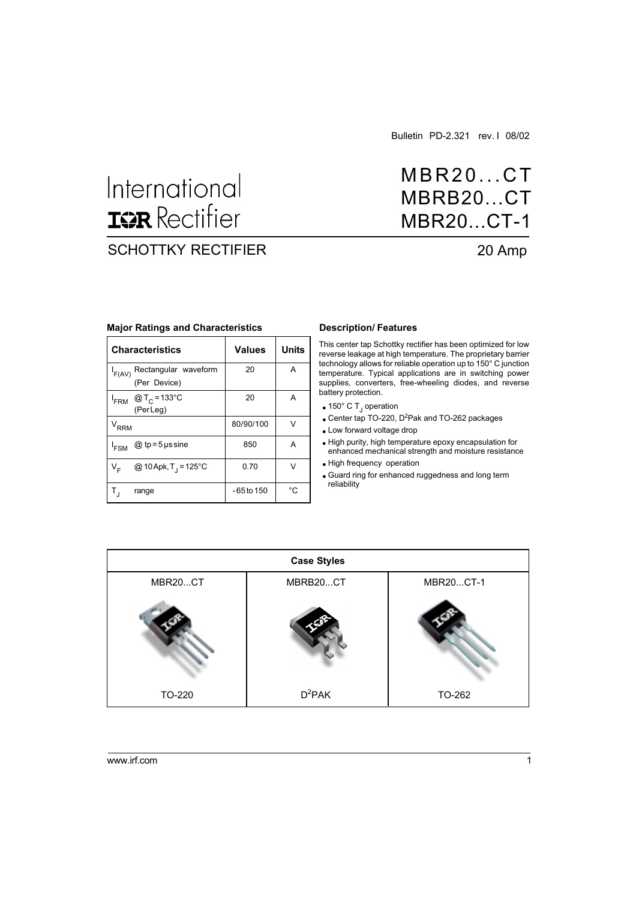Bulletin PD-2.321 rev. I 08/02

# International **ISR** Rectifier

## SCHOTTKY RECTIFIER 20 Amp

## MBR20...CT MBRB20...CT MBR20...CT-1

#### **Major Ratings and Characteristics**

|                             | <b>Characteristics</b>                               | <b>Values</b> | <b>Units</b> |
|-----------------------------|------------------------------------------------------|---------------|--------------|
| $I_{F(AV)}$                 | Rectangular waveform<br>(Per Device)                 | 20            | A            |
|                             | $I_{\text{FRM}}$ @T <sub>C</sub> =133°C<br>(Per Leg) | 20            | А            |
| $\mathsf{V}_{\mathsf{RRM}}$ |                                                      | 80/90/100     | V            |
| <sup>I</sup> FSM            | $@$ tp=5 $\mu$ s sine                                | 850           | A            |
| V <sub>F</sub>              | @ 10 Apk, T <sub>1</sub> = 125°C                     | 0.70          | v            |
|                             | range                                                | -65 to 150    | °C           |

#### **Description/ Features**

This center tap Schottky rectifier has been optimized for low reverse leakage at high temperature. The proprietary barrier technology allows for reliable operation up to 150° C junction temperature. Typical applications are in switching power supplies, converters, free-wheeling diodes, and reverse battery protection.

- 150° C T<sub>J</sub> operation
- Center tap TO-220, D<sup>2</sup>Pak and TO-262 packages
- Low forward voltage drop
- High purity, high temperature epoxy encapsulation for enhanced mechanical strength and moisture resistance
- High frequency operation
- Guard ring for enhanced ruggedness and long term reliability

|         | <b>Case Styles</b> |           |
|---------|--------------------|-----------|
| MBR20CT | MBRB20CT           | MBR20CT-1 |
|         |                    |           |
| TO-220  | $D^2PAK$           | TO-262    |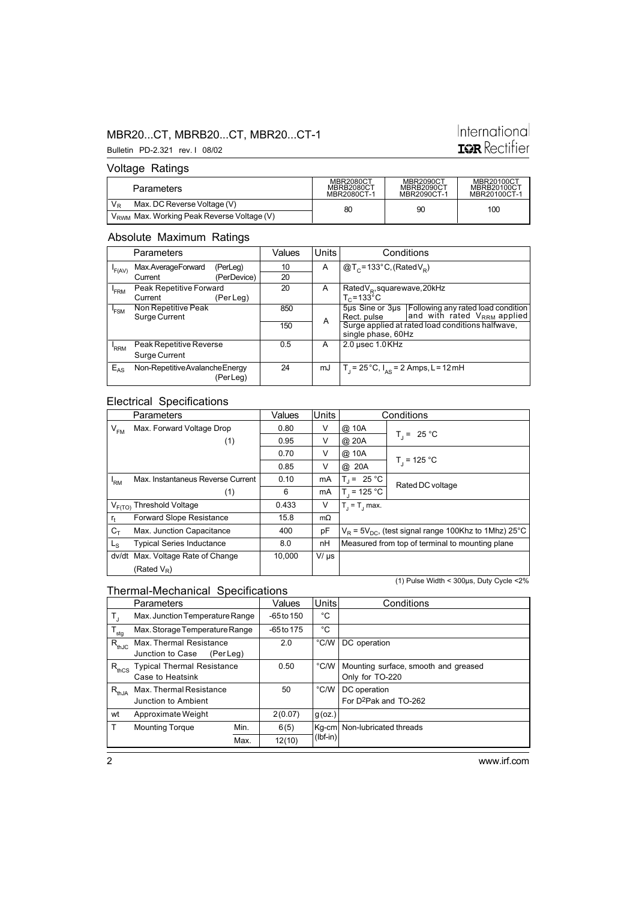#### MBR20...CT, MBRB20...CT, MBR20...CT-1

## International **ISR** Rectifier

#### Voltage Ratings

Bulletin PD-2.321 rev. I 08/02

| Parameters                                             | <b>MBR2080CT</b><br>MBRB2080CT<br>MBR2080CT-1 | <b>MBR2090CT</b><br>MBRB2090CT<br>MBR2090CT-1 | MBR20100CT<br><b>MBRB20100CT</b><br>MBR20100CT-1 |
|--------------------------------------------------------|-----------------------------------------------|-----------------------------------------------|--------------------------------------------------|
| $V_{R}$<br>Max. DC Reverse Voltage (V)                 | 80                                            | 90                                            | 100                                              |
| V <sub>RWM</sub> Max. Working Peak Reverse Voltage (V) |                                               |                                               |                                                  |

#### Absolute Maximum Ratings

|                  | <b>Parameters</b>             |             | Values | <b>Units</b> |                                                          | Conditions                                       |
|------------------|-------------------------------|-------------|--------|--------------|----------------------------------------------------------|--------------------------------------------------|
| F(AV)            | Max.AverageForward            | (PerLeg)    | 10     | A            | $@T_c = 133°C$ , (Rated $V_a$ )                          |                                                  |
|                  | Current                       | (PerDevice) | 20     |              |                                                          |                                                  |
| <sup>I</sup> FRM | Peak Repetitive Forward       |             | 20     | A            | Rated $V_R$ , square wave, 20kHz                         |                                                  |
|                  | Current                       | (Per Leg)   |        |              | $T_c = 133^{\circ}$ C                                    |                                                  |
| <sup>I</sup> FSM | Non Repetitive Peak           |             | 850    |              |                                                          |                                                  |
|                  | Surge Current                 |             |        | A            | Rect. pulse                                              |                                                  |
|                  |                               |             | 150    |              |                                                          | Surge applied at rated load conditions halfwave, |
|                  |                               |             |        |              | single phase, 60Hz                                       |                                                  |
| RRM              | Peak Repetitive Reverse       |             | 0.5    | A            | 2.0 µsec 1.0 KHz                                         |                                                  |
|                  | Surge Current                 |             |        |              |                                                          |                                                  |
| $E_{AS}$         | Non-RepetitiveAvalancheEnergy |             | 24     | mJ           | $T_1 = 25^{\circ}C$ , $I_{\Delta S} = 2$ Amps, L = 12 mH |                                                  |
|                  |                               | (PerLeg)    |        |              |                                                          |                                                  |

### Electrical Specifications

|                | Parameters                           | Values | <b>Units</b> |                  | Conditions                                                   |
|----------------|--------------------------------------|--------|--------------|------------------|--------------------------------------------------------------|
| $V_{FM}$       | Max. Forward Voltage Drop            | 0.80   | V            | @ 10A            |                                                              |
|                | (1)                                  | 0.95   | v            | @ 20A            | $T_1 = 25 °C$                                                |
|                |                                      | 0.70   | V            | @ 10A            |                                                              |
|                |                                      | 0.85   | v            | @ 20A            | $T_1$ = 125 °C                                               |
| 'RM            | Max. Instantaneus Reverse Current    | 0.10   | mA           | $T_1 = 25 °C$    | Rated DC voltage                                             |
|                | (1)                                  | 6      | mA           | $T_1 = 125 °C$   |                                                              |
|                | V <sub>F(TO)</sub> Threshold Voltage | 0.433  | V            | $T_i = T_i$ max. |                                                              |
| $r_{t}$        | <b>Forward Slope Resistance</b>      | 15.8   | $m\Omega$    |                  |                                                              |
| $C_{\text{T}}$ | Max. Junction Capacitance            | 400    | pF           |                  | $V_B$ = 5 $V_{DC}$ , (test signal range 100Khz to 1Mhz) 25°C |
| $L_{\rm S}$    | <b>Typical Series Inductance</b>     | 8.0    | nH           |                  | Measured from top of terminal to mounting plane              |
| dv/dt          | Max. Voltage Rate of Change          | 10,000 | $V/\mu s$    |                  |                                                              |
|                | (Rated $V_R$ )                       |        |              |                  |                                                              |

#### Thermal-Mechanical Specifications

(1) Pulse Width < 300µs, Duty Cycle <2%

|                        | Parameters                                               |      | Values       | <b>Units</b>   | Conditions                                              |
|------------------------|----------------------------------------------------------|------|--------------|----------------|---------------------------------------------------------|
| T,                     | Max. Junction Temperature Range                          |      | $-65$ to 150 | °C             |                                                         |
| $\cdot$ T $_{\sf stg}$ | Max. Storage Temperature Range                           |      | $-65$ to 175 | °C             |                                                         |
| $R_{thJC}$             | Max. Thermal Resistance<br>Junction to Case<br>(Per Leg) |      | 2.0          | °C/W           | DC operation                                            |
| $R_{thCS}$             | <b>Typical Thermal Resistance</b><br>Case to Heatsink    |      | 0.50         | $\degree$ C/W  | Mounting surface, smooth and greased<br>Only for TO-220 |
| $R_{thJA}$             | Max. Thermal Resistance<br>Junction to Ambient           |      | 50           | $^{\circ}$ C/W | DC operation<br>For D <sup>2</sup> Pak and TO-262       |
| wt                     | Approximate Weight                                       |      | 2(0.07)      | $g$ (oz.)      |                                                         |
| T.                     | <b>Mounting Torque</b>                                   | Min. | 6(5)         | $Kq-cm$        | Non-lubricated threads                                  |
|                        |                                                          | Max. | 12(10)       | $(lbf-in)$     |                                                         |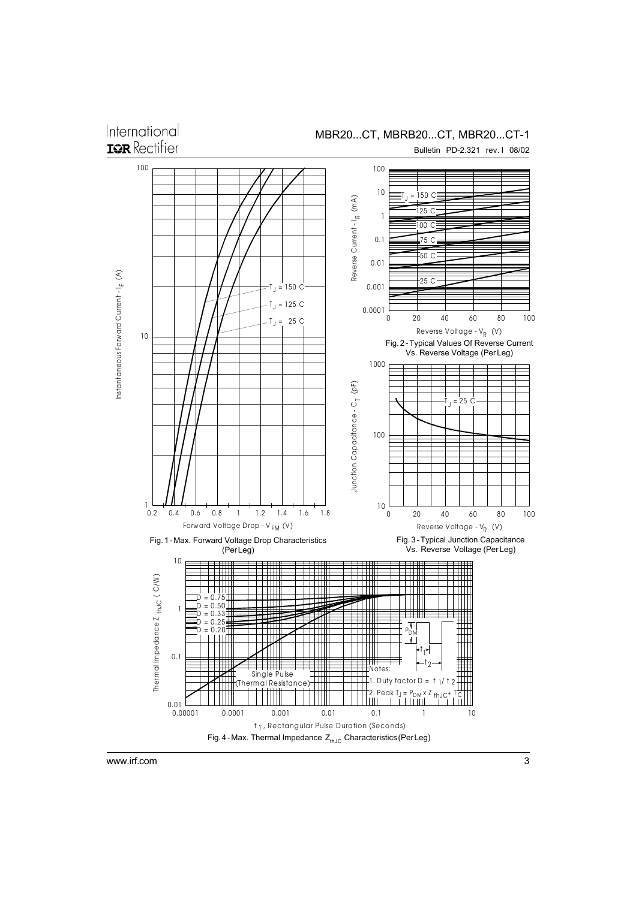International

MBR20...CT, MBRB20...CT, MBR20...CT-1

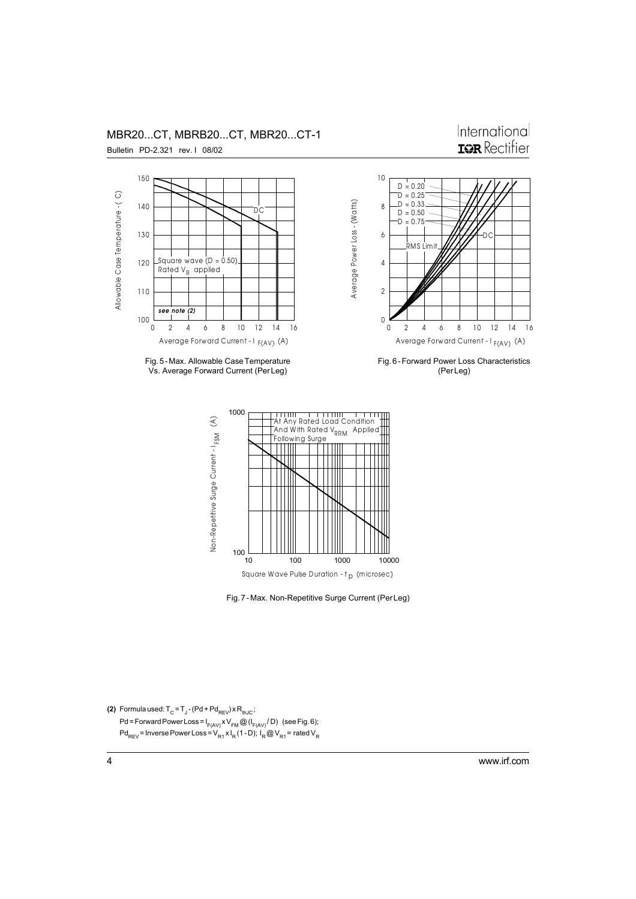

Fig. 5 - Max. Allowable Case Temperature Vs. Average Forward Current (Per Leg)

MBR20...CT, MBRB20...CT, MBR20...CT-1

Fig. 6 - Forward Power Loss Characteristics (Per Leg)

International





**(2)** Formula used:  $T_{\text{C}}$  =  $T_{\text{J}}$  - (Pd + Pd<sub>REV</sub>) x R<sub>thJC</sub>; Pd = Forward Power Loss = I<sub>F(AV)</sub> x V<sub>FM</sub> @ (I<sub>F(AV)</sub>/D) (see Fig. 6); Pd<sub>REV</sub> = Inverse Power Loss = V<sub>R1</sub> x I<sub>R</sub> (1 - D); I<sub>R</sub> @ V<sub>R1</sub> = rated V<sub>R</sub>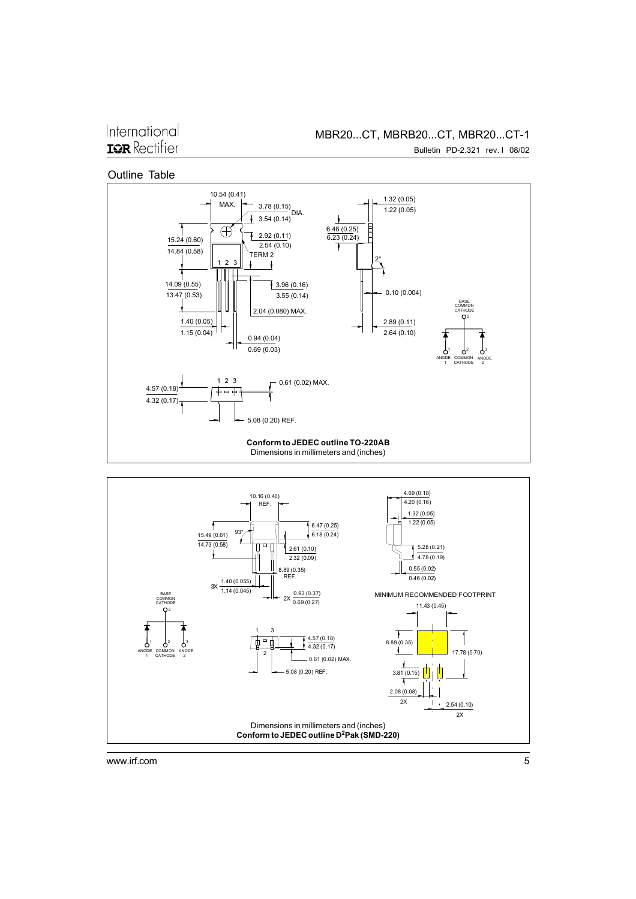International **IGR** Rectifier

Bulletin PD-2.321 rev. I 08/02

Outline Table

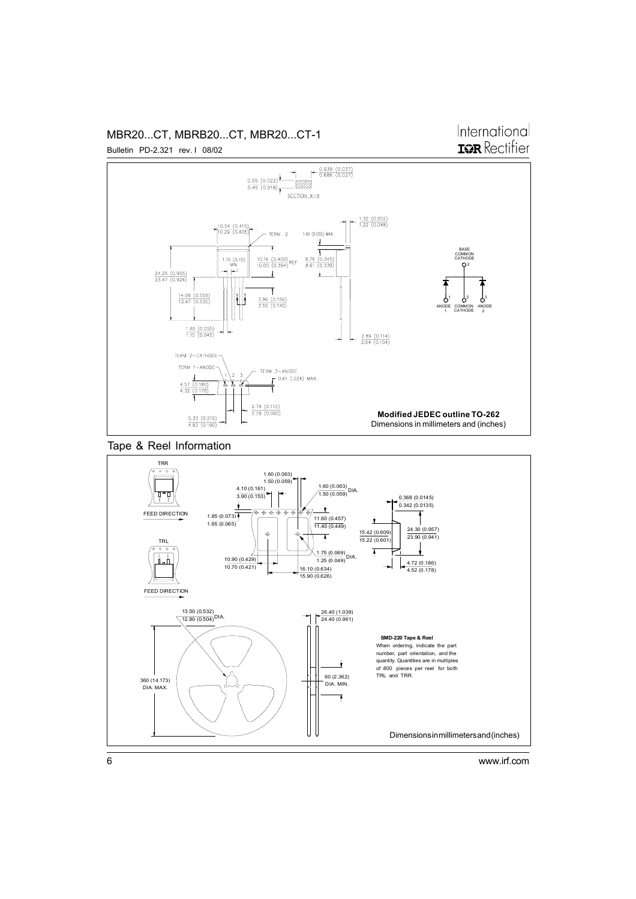#### MBR20...CT, MBRB20...CT, MBR20...CT-1 Bulletin PD-2.321 rev. I 08/02

## International **ISR** Rectifier



Tape & Reel Information